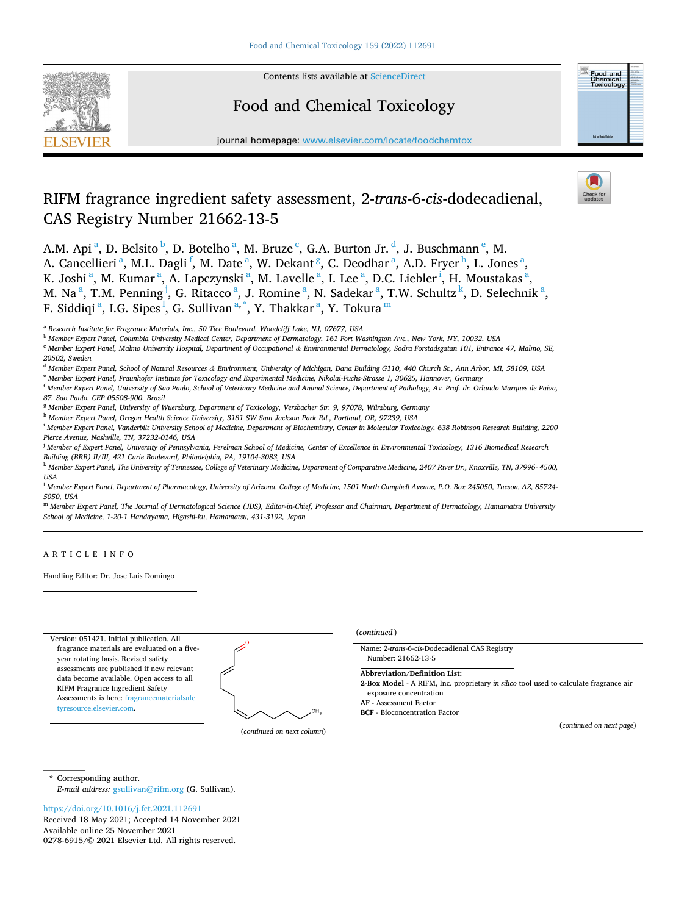

Contents lists available at [ScienceDirect](www.sciencedirect.com/science/journal/02786915)

# Food and Chemical Toxicology



journal homepage: [www.elsevier.com/locate/foodchemtox](https://www.elsevier.com/locate/foodchemtox)

# RIFM fragrance ingredient safety assessment, 2-*trans*-6-*cis*-dodecadienal, CAS Registry Number 21662-13-5

A.M. Api<sup>a</sup>, D. Belsito<sup>b</sup>, D. Botelho<sup>a</sup>, M. Bruze<sup>c</sup>, G.A. Burton Jr.<sup>d</sup>, J. Buschmann<sup>e</sup>, M. A. Cancellieri<sup>a</sup>, M.L. Dagli<sup>f</sup>, M. Date<sup>a</sup>, W. Dekant<sup>g</sup>, C. Deodhar<sup>a</sup>, A.D. Fryer<sup>h</sup>, L. Jones<sup>a</sup>, K. Joshi<sup>a</sup>, M. Kumar<sup>a</sup>, A. Lapczynski<sup>a</sup>, M. Lavelle<sup>a</sup>, I. Lee<sup>a</sup>, D.C. Liebler<sup>i</sup>, H. Moustakas<sup>a</sup>, M. Na<sup>a</sup>, T.M. Penning<sup>j</sup>, G. Ritacco<sup>a</sup>, J. Romine<sup>a</sup>, N. Sadekar<sup>a</sup>, T.W. Schultz<sup>k</sup>, D. Selechnik<sup>a</sup>, F. Siddiqi $^{\rm a}$ , I.G. Sipes $^{\rm l}$ , G. Sullivan $^{\rm a,*}$ , Y. Thakkar $^{\rm a}$ , Y. Tokura $^{\rm m}$ 

- <sup>f</sup> *Member Expert Panel, University of Sao Paulo, School of Veterinary Medicine and Animal Science, Department of Pathology, Av. Prof. dr. Orlando Marques de Paiva, 87, Sao Paulo, CEP 05508-900, Brazil*
- <sup>g</sup> *Member Expert Panel, University of Wuerzburg, Department of Toxicology, Versbacher Str. 9, 97078, Würzburg, Germany*

<sup>h</sup> *Member Expert Panel, Oregon Health Science University, 3181 SW Sam Jackson Park Rd., Portland, OR, 97239, USA* 

<sup>i</sup> *Member Expert Panel, Vanderbilt University School of Medicine, Department of Biochemistry, Center in Molecular Toxicology, 638 Robinson Research Building, 2200 Pierce Avenue, Nashville, TN, 37232-0146, USA* 

<sup>j</sup> *Member of Expert Panel, University of Pennsylvania, Perelman School of Medicine, Center of Excellence in Environmental Toxicology, 1316 Biomedical Research Building (BRB) II/III, 421 Curie Boulevard, Philadelphia, PA, 19104-3083, USA* 

<sup>k</sup> *Member Expert Panel, The University of Tennessee, College of Veterinary Medicine, Department of Comparative Medicine, 2407 River Dr., Knoxville, TN, 37996- 4500, USA* 

<sup>l</sup> *Member Expert Panel, Department of Pharmacology, University of Arizona, College of Medicine, 1501 North Campbell Avenue, P.O. Box 245050, Tucson, AZ, 85724- 5050, USA* 

<sup>m</sup> *Member Expert Panel, The Journal of Dermatological Science (JDS), Editor-in-Chief, Professor and Chairman, Department of Dermatology, Hamamatsu University School of Medicine, 1-20-1 Handayama, Higashi-ku, Hamamatsu, 431-3192, Japan* 

#### ARTICLE INFO

Handling Editor: Dr. Jose Luis Domingo

Version: 051421. Initial publication. All fragrance materials are evaluated on a fiveyear rotating basis. Revised safety assessments are published if new relevant data become available. Open access to all RIFM Fragrance Ingredient Safety Assessments is here: [fragrancematerialsafe](http://fragrancematerialsafetyresource.elsevier.com)  [tyresource.elsevier.com.](http://fragrancematerialsafetyresource.elsevier.com)



(*continued on next column*)

#### (*continued* )

Name: 2-*trans-*6-*cis-*Dodecadienal CAS Registry Number: 21662-13-5

#### **Abbreviation/Definition List:**

**2-Box Model** - A RIFM, Inc. proprietary *in silico* tool used to calculate fragrance air exposure concentration

**AF** - Assessment Factor

**BCF** - Bioconcentration Factor

(*continued on next page*)

\* Corresponding author. *E-mail address:* [gsullivan@rifm.org](mailto:gsullivan@rifm.org) (G. Sullivan).

#### <https://doi.org/10.1016/j.fct.2021.112691>

Available online 25 November 2021 0278-6915/© 2021 Elsevier Ltd. All rights reserved. Received 18 May 2021; Accepted 14 November 2021

<sup>a</sup> *Research Institute for Fragrance Materials, Inc., 50 Tice Boulevard, Woodcliff Lake, NJ, 07677, USA* 

<sup>b</sup> *Member Expert Panel, Columbia University Medical Center, Department of Dermatology, 161 Fort Washington Ave., New York, NY, 10032, USA* 

<sup>&</sup>lt;sup>c</sup> Member Expert Panel, Malmo University Hospital, Department of Occupational & Environmental Dermatology, Sodra Forstadsgatan 101, Entrance 47, Malmo, SE, *20502, Sweden* 

<sup>d</sup> *Member Expert Panel, School of Natural Resources & Environment, University of Michigan, Dana Building G110, 440 Church St., Ann Arbor, MI, 58109, USA* 

<sup>e</sup> *Member Expert Panel, Fraunhofer Institute for Toxicology and Experimental Medicine, Nikolai-Fuchs-Strasse 1, 30625, Hannover, Germany*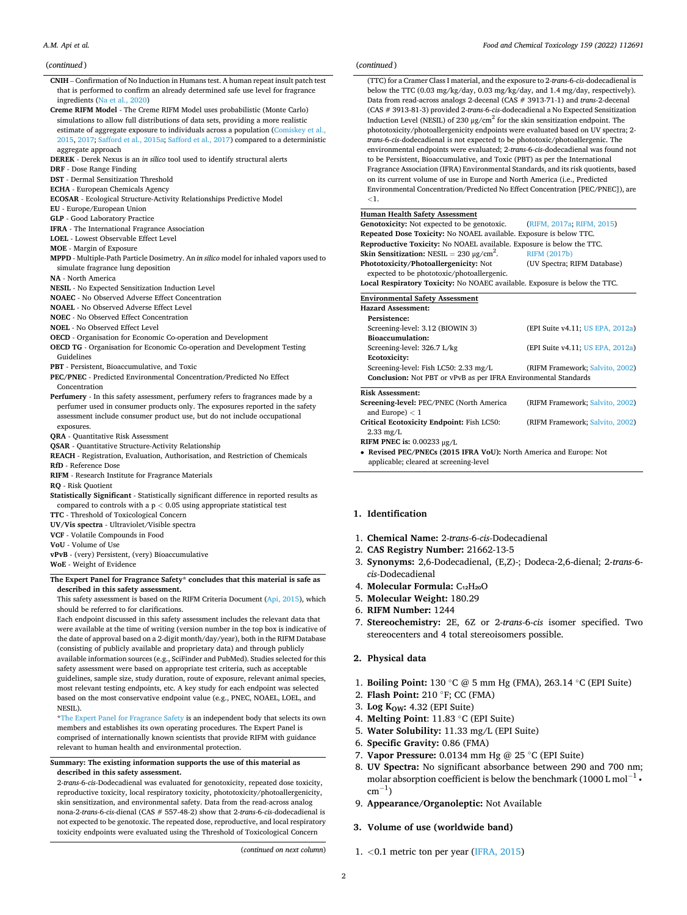#### (*continued* )

- **CNIH**  Confirmation of No Induction in Humans test. A human repeat insult patch test that is performed to confirm an already determined safe use level for fragrance ingredients [\(Na et al., 2020](#page-8-0))
- **Creme RIFM Model**  The Creme RIFM Model uses probabilistic (Monte Carlo) simulations to allow full distributions of data sets, providing a more realistic estimate of aggregate exposure to individuals across a population ([Comiskey et al.,](#page-8-0)  [2015, 2017;](#page-8-0) [Safford et al., 2015a](#page-9-0); [Safford et al., 2017\)](#page-9-0) compared to a deterministic aggregate approach
- **DEREK**  Derek Nexus is an *in silico* tool used to identify structural alerts
- **DRF**  Dose Range Finding
- **DST**  Dermal Sensitization Threshold
- **ECHA**  European Chemicals Agency
- **ECOSAR**  Ecological Structure-Activity Relationships Predictive Model
- **EU**  Europe/European Union
- **GLP**  Good Laboratory Practice
- **IFRA**  The International Fragrance Association
- **LOEL**  Lowest Observable Effect Level
- **MOE**  Margin of Exposure
- **MPPD**  Multiple-Path Particle Dosimetry. An *in silico* model for inhaled vapors used to simulate fragrance lung deposition

**NA** - North America

- **NESIL**  No Expected Sensitization Induction Level
- **NOAEC**  No Observed Adverse Effect Concentration
- **NOAEL**  No Observed Adverse Effect Level
- **NOEC**  No Observed Effect Concentration
- **NOEL**  No Observed Effect Level
- **OECD**  Organisation for Economic Co-operation and Development
- **OECD TG**  Organisation for Economic Co-operation and Development Testing Guidelines
- **PBT**  Persistent, Bioaccumulative, and Toxic
- **PEC/PNEC**  Predicted Environmental Concentration/Predicted No Effect Concentration
- **Perfumery**  In this safety assessment, perfumery refers to fragrances made by a perfumer used in consumer products only. The exposures reported in the safety assessment include consumer product use, but do not include occupational exposures.
- **QRA**  Quantitative Risk Assessment
- **QSAR**  Quantitative Structure-Activity Relationship
- **REACH**  Registration, Evaluation, Authorisation, and Restriction of Chemicals
- **RfD**  Reference Dose
- **RIFM**  Research Institute for Fragrance Materials
- **RQ**  Risk Quotient

**Statistically Significant** - Statistically significant difference in reported results as compared to controls with a p *<* 0.05 using appropriate statistical test

- **TTC**  Threshold of Toxicological Concern
- **UV/Vis spectra**  Ultraviolet/Visible spectra
- **VCF**  Volatile Compounds in Food
- **VoU**  Volume of Use
- **vPvB**  (very) Persistent, (very) Bioaccumulative
- **WoE**  Weight of Evidence

#### **The Expert Panel for Fragrance Safety\* concludes that this material is safe as described in this safety assessment.**

This safety assessment is based on the RIFM Criteria Document ([Api, 2015](#page-8-0)), which should be referred to for clarifications.

Each endpoint discussed in this safety assessment includes the relevant data that were available at the time of writing (version number in the top box is indicative of the date of approval based on a 2-digit month/day/year), both in the RIFM Database (consisting of publicly available and proprietary data) and through publicly available information sources (e.g., SciFinder and PubMed). Studies selected for this safety assessment were based on appropriate test criteria, such as acceptable guidelines, sample size, study duration, route of exposure, relevant animal species, most relevant testing endpoints, etc. A key study for each endpoint was selected based on the most conservative endpoint value (e.g., PNEC, NOAEL, LOEL, and NESIL).

\*[The Expert Panel for Fragrance Safety](http://fragrancesafetypanel.org/) is an independent body that selects its own members and establishes its own operating procedures. The Expert Panel is comprised of internationally known scientists that provide RIFM with guidance relevant to human health and environmental protection.

#### **Summary: The existing information supports the use of this material as described in this safety assessment.**

2-*trans-*6-*cis-*Dodecadienal was evaluated for genotoxicity, repeated dose toxicity, reproductive toxicity, local respiratory toxicity, phototoxicity/photoallergenicity, skin sensitization, and environmental safety. Data from the read-across analog nona-2-*trans-*6-*cis-*dienal (CAS # 557-48-2) show that 2-*trans-*6-*cis-*dodecadienal is not expected to be genotoxic. The repeated dose, reproductive, and local respiratory toxicity endpoints were evaluated using the Threshold of Toxicological Concern

(*continued on next column*)

## (*continued* )

(TTC) for a Cramer Class I material, and the exposure to 2-*trans-*6-*cis-*dodecadienal is below the TTC (0.03 mg/kg/day, 0.03 mg/kg/day, and 1.4 mg/day, respectively). Data from read-across analogs 2-decenal (CAS # 3913-71-1) and *trans-*2-decenal (CAS # 3913-81-3) provided 2-*trans-*6-*cis-*dodecadienal a No Expected Sensitization Induction Level (NESIL) of 230 μg/cm<sup>2</sup> for the skin sensitization endpoint. The phototoxicity/photoallergenicity endpoints were evaluated based on UV spectra; 2 *trans-*6-*cis-*dodecadienal is not expected to be phototoxic/photoallergenic. The environmental endpoints were evaluated; 2-*trans-*6-*cis-*dodecadienal was found not to be Persistent, Bioaccumulative, and Toxic (PBT) as per the International Fragrance Association (IFRA) Environmental Standards, and its risk quotients, based on its current volume of use in Europe and North America (i.e., Predicted Environmental Concentration/Predicted No Effect Concentration [PEC/PNEC]), are *<*1.

# **Human Health Safety Assessment**

**Genotoxicity:** Not expected to be genotoxic. [\(RIFM, 2017a; RIFM, 2015\)](#page-8-0) **Repeated Dose Toxicity:** No NOAEL available. Exposure is below TTC. **Reproductive Toxicity:** No NOAEL available. Exposure is below the TTC. **Skin Sensitization:**  $NESIL = 230 \mu g/cm^2$ . . [RIFM \(2017b\)](#page-8-0)  **Phototoxicity/Photoallergenicity:** Not expected to be phototoxic/photoallergenic. (UV Spectra; RIFM Database)

**Local Respiratory Toxicity:** No NOAEC available. Exposure is below the TTC.

| <b>Environmental Safety Assessment</b>                                 |                                  |
|------------------------------------------------------------------------|----------------------------------|
| <b>Hazard Assessment:</b>                                              |                                  |
| Persistence:                                                           |                                  |
| Screening-level: 3.12 (BIOWIN 3)                                       | (EPI Suite v4.11; US EPA, 2012a) |
| Bioaccumulation:                                                       |                                  |
| Screening-level: 326.7 L/kg                                            | (EPI Suite v4.11; US EPA, 2012a) |
| Ecotoxicity:                                                           |                                  |
| Screening-level: Fish LC50: 2.33 mg/L                                  | (RIFM Framework; Salvito, 2002)  |
| <b>Conclusion:</b> Not PBT or vPvB as per IFRA Environmental Standards |                                  |
| <b>Risk Assessment:</b>                                                |                                  |
| Screening-level: PEC/PNEC (North America<br>and Europe $0 < 1$         | (RIFM Framework; Salvito, 2002)  |
| Critical Ecotoxicity Endpoint: Fish LC50:                              | (RIFM Framework; Salvito, 2002)  |

2.33 mg/L

**RIFM PNEC is:** 0.00233 μg/L

• **Revised PEC/PNECs (2015 IFRA VoU):** North America and Europe: Not applicable; cleared at screening-level

## **1. Identification**

- 1. **Chemical Name:** 2-*trans-*6-*cis-*Dodecadienal
- 2. **CAS Registry Number:** 21662-13-5
- 3. **Synonyms:** 2,6-Dodecadienal, (E,Z)-; Dodeca-2,6-dienal; 2-*trans-*6 *cis-*Dodecadienal
- 4. **Molecular Formula:** C<sub>12</sub>H<sub>20</sub>O
- 5. **Molecular Weight:** 180.29
- 6. **RIFM Number:** 1244
- 7. **Stereochemistry:** 2E, 6Z or 2-*trans-*6-*cis* isomer specified. Two stereocenters and 4 total stereoisomers possible.

#### **2. Physical data**

- 1. **Boiling Point:** 130 ◦C @ 5 mm Hg (FMA), 263.14 ◦C (EPI Suite)
- 2. **Flash Point:** 210 ◦F; CC (FMA)
- 3. **Log KOW:** 4.32 (EPI Suite)
- 4. **Melting Point**: 11.83 ◦C (EPI Suite)
- 5. **Water Solubility:** 11.33 mg/L (EPI Suite)
- 6. **Specific Gravity:** 0.86 (FMA)
- 7. **Vapor Pressure:** 0.0134 mm Hg @ 25 ◦C (EPI Suite)
- 8. **UV Spectra:** No significant absorbance between 290 and 700 nm; molar absorption coefficient is below the benchmark (1000 L mol<sup>-1</sup> •  $cm^{-1}$ )
- 9. **Appearance/Organoleptic:** Not Available

## **3. Volume of use (worldwide band)**

1. *<*0.1 metric ton per year ([IFRA, 2015\)](#page-8-0)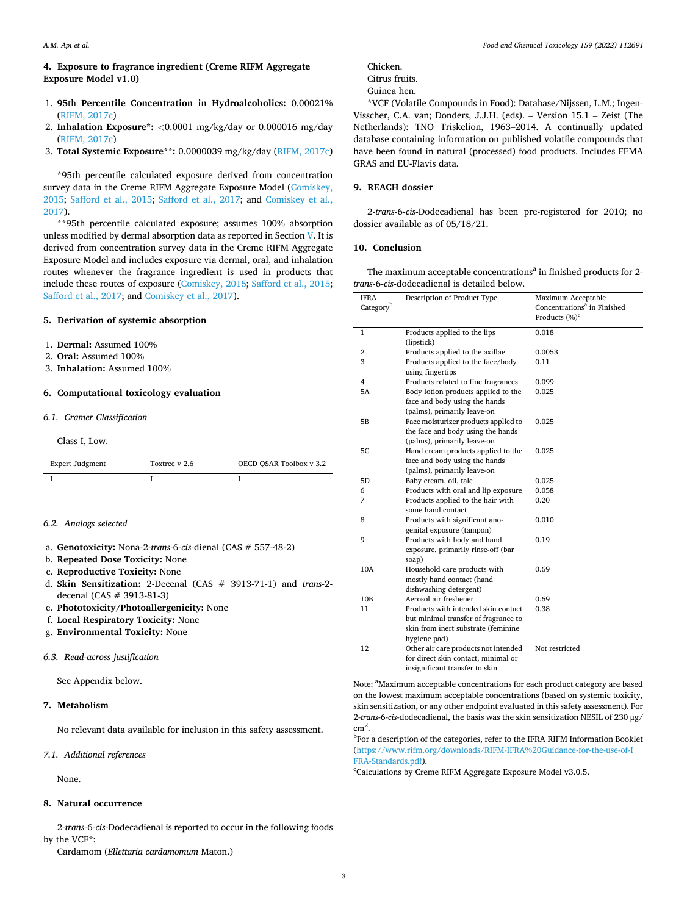# <span id="page-2-0"></span>**4. Exposure to fragrance ingredient (Creme RIFM Aggregate Exposure Model v1.0)**

- 1. **95**th **Percentile Concentration in Hydroalcoholics:** 0.00021% [\(RIFM, 2017c\)](#page-8-0)
- 2. **Inhalation Exposure\*:** *<*0.0001 mg/kg/day or 0.000016 mg/day [\(RIFM, 2017c\)](#page-8-0)
- 3. **Total Systemic Exposure\*\*:** 0.0000039 mg/kg/day [\(RIFM, 2017c\)](#page-8-0)

\*95th percentile calculated exposure derived from concentration survey data in the Creme RIFM Aggregate Exposure Model [\(Comiskey,](#page-8-0)  [2015;](#page-8-0) [Safford et al., 2015;](#page-9-0) [Safford et al., 2017](#page-9-0); and [Comiskey et al.,](#page-8-0)  [2017\)](#page-8-0).

\*\*95th percentile calculated exposure; assumes 100% absorption unless modified by dermal absorption data as reported in Section V. It is derived from concentration survey data in the Creme RIFM Aggregate Exposure Model and includes exposure via dermal, oral, and inhalation routes whenever the fragrance ingredient is used in products that include these routes of exposure [\(Comiskey, 2015;](#page-8-0) [Safford et al., 2015](#page-9-0); [Safford et al., 2017;](#page-9-0) and [Comiskey et al., 2017](#page-8-0)).

# **5. Derivation of systemic absorption**

1. **Dermal:** Assumed 100%

- 2. **Oral:** Assumed 100%
- 3. **Inhalation:** Assumed 100%

# **6. Computational toxicology evaluation**

*6.1. Cramer Classification* 

Class I, Low.

| <b>Expert Judgment</b> | Toxtree v 2.6 | OECD OSAR Toolbox v 3.2 |
|------------------------|---------------|-------------------------|
|                        |               |                         |

# *6.2. Analogs selected*

- a. **Genotoxicity:** Nona-2-*trans-*6-*cis-*dienal (CAS # 557-48-2)
- b. **Repeated Dose Toxicity:** None
- c. **Reproductive Toxicity:** None
- d. **Skin Sensitization:** 2-Decenal (CAS # 3913-71-1) and *trans-*2 decenal (CAS # 3913-81-3)
- e. **Phototoxicity/Photoallergenicity:** None
- f. **Local Respiratory Toxicity:** None
- g. **Environmental Toxicity:** None

# *6.3. Read-across justification*

See Appendix below.

# **7. Metabolism**

No relevant data available for inclusion in this safety assessment.

# *7.1. Additional references*

None.

# **8. Natural occurrence**

2-*trans*-6-*cis*-Dodecadienal is reported to occur in the following foods by the VCF\*:

Cardamom (*Ellettaria cardamomum* Maton.)

Chicken. Citrus fruits. Guinea hen.

\*VCF (Volatile Compounds in Food): Database/Nijssen, L.M.; Ingen-Visscher, C.A. van; Donders, J.J.H. (eds). – Version 15.1 – Zeist (The Netherlands): TNO Triskelion, 1963–2014. A continually updated database containing information on published volatile compounds that have been found in natural (processed) food products. Includes FEMA GRAS and EU-Flavis data.

# **9. REACH dossier**

2-*trans*-6-*cis*-Dodecadienal has been pre-registered for 2010; no dossier available as of 05/18/21.

# **10. Conclusion**

The maximum acceptable concentrations<sup>a</sup> in finished products for 2*trans*-6-*cis*-dodecadienal is detailed below.

| <b>IFRA</b><br>Category <sup>b</sup> | Description of Product Type                            | Maximum Acceptable<br>Concentrations <sup>a</sup> in Finished<br>Products $(\%)^c$ |
|--------------------------------------|--------------------------------------------------------|------------------------------------------------------------------------------------|
| $\mathbf{1}$                         | Products applied to the lips                           | 0.018                                                                              |
|                                      | (lipstick)                                             |                                                                                    |
| $\overline{2}$                       | Products applied to the axillae                        | 0.0053                                                                             |
| 3                                    | Products applied to the face/body                      | 0.11                                                                               |
|                                      | using fingertips                                       |                                                                                    |
| 4                                    | Products related to fine fragrances                    | 0.099                                                                              |
| <b>5A</b>                            | Body lotion products applied to the                    | 0.025                                                                              |
|                                      | face and body using the hands                          |                                                                                    |
|                                      | (palms), primarily leave-on                            |                                                                                    |
| 5B                                   | Face moisturizer products applied to                   | 0.025                                                                              |
|                                      | the face and body using the hands                      |                                                                                    |
|                                      | (palms), primarily leave-on                            |                                                                                    |
| 5C                                   | Hand cream products applied to the                     | 0.025                                                                              |
|                                      | face and body using the hands                          |                                                                                    |
|                                      | (palms), primarily leave-on                            |                                                                                    |
| 5D                                   | Baby cream, oil, talc                                  | 0.025                                                                              |
| 6                                    | Products with oral and lip exposure                    | 0.058                                                                              |
| 7                                    | Products applied to the hair with<br>some hand contact | 0.20                                                                               |
| 8                                    | Products with significant ano-                         | 0.010                                                                              |
|                                      | genital exposure (tampon)                              |                                                                                    |
| 9                                    | Products with body and hand                            | 0.19                                                                               |
|                                      | exposure, primarily rinse-off (bar                     |                                                                                    |
|                                      | soap)                                                  |                                                                                    |
| 10A                                  | Household care products with                           | 0.69                                                                               |
|                                      | mostly hand contact (hand                              |                                                                                    |
|                                      | dishwashing detergent)                                 |                                                                                    |
| 10B                                  | Aerosol air freshener                                  | 0.69                                                                               |
| 11                                   | Products with intended skin contact                    | 0.38                                                                               |
|                                      | but minimal transfer of fragrance to                   |                                                                                    |
|                                      | skin from inert substrate (feminine                    |                                                                                    |
|                                      | hygiene pad)                                           |                                                                                    |
| 12                                   | Other air care products not intended                   | Not restricted                                                                     |
|                                      | for direct skin contact, minimal or                    |                                                                                    |
|                                      | insignificant transfer to skin                         |                                                                                    |

Note: <sup>a</sup>Maximum acceptable concentrations for each product category are based on the lowest maximum acceptable concentrations (based on systemic toxicity, skin sensitization, or any other endpoint evaluated in this safety assessment). For 2*-trans*-6-*cis-*dodecadienal, the basis was the skin sensitization NESIL of 230 μg/  $\frac{\text{cm}^2}{\text{b}_{\text{Eor}}}$ 

<sup>b</sup>For a description of the categories, refer to the IFRA RIFM Information Booklet [\(https://www.rifm.org/downloads/RIFM-IFRA%20Guidance-for-the-use-of-I](https://www.rifm.org/downloads/RIFM-IFRA%20Guidance-for-the-use-of-IFRA-Standards.pdf)

[FRA-Standards.pdf\)](https://www.rifm.org/downloads/RIFM-IFRA%20Guidance-for-the-use-of-IFRA-Standards.pdf).<br><sup>c</sup>Calculations by Creme RIFM Aggregate Exposure Model v3.0.5.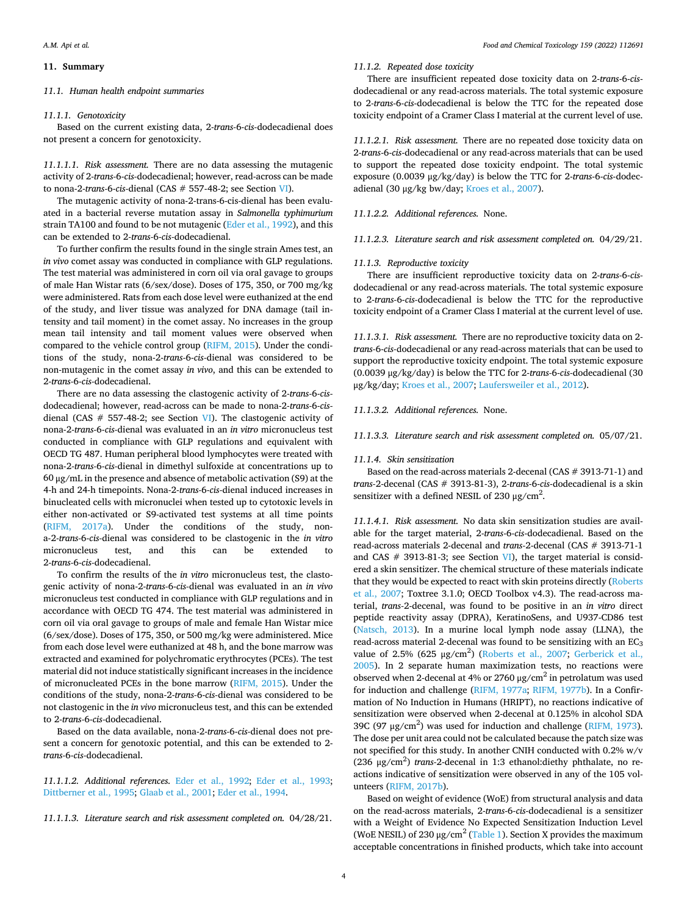#### **11. Summary**

#### *11.1. Human health endpoint summaries*

## *11.1.1. Genotoxicity*

Based on the current existing data, 2-*trans-*6-*cis-*dodecadienal does not present a concern for genotoxicity.

*11.1.1.1. Risk assessment.* There are no data assessing the mutagenic activity of 2-*trans-*6-*cis-*dodecadienal; however, read-across can be made to nona-2-*trans-*6-*cis-*dienal (CAS # 557-48-2; see Section [VI\)](#page-2-0).

The mutagenic activity of nona-2-trans-6-cis-dienal has been evaluated in a bacterial reverse mutation assay in *Salmonella typhimurium*  strain TA100 and found to be not mutagenic [\(Eder et al., 1992\)](#page-8-0), and this can be extended to 2-*trans-*6-*cis-*dodecadienal.

To further confirm the results found in the single strain Ames test, an *in vivo* comet assay was conducted in compliance with GLP regulations. The test material was administered in corn oil via oral gavage to groups of male Han Wistar rats (6/sex/dose). Doses of 175, 350, or 700 mg/kg were administered. Rats from each dose level were euthanized at the end of the study, and liver tissue was analyzed for DNA damage (tail intensity and tail moment) in the comet assay. No increases in the group mean tail intensity and tail moment values were observed when compared to the vehicle control group [\(RIFM, 2015](#page-8-0)). Under the conditions of the study, nona-2-*trans-*6-*cis-*dienal was considered to be non-mutagenic in the comet assay *in vivo*, and this can be extended to 2-*trans-*6-*cis-*dodecadienal.

There are no data assessing the clastogenic activity of 2-*trans-*6-*cis*dodecadienal; however, read-across can be made to nona-2-*trans-*6-*cis*dienal (CAS  $#$  557-48-2; see Section [VI](#page-2-0)). The clastogenic activity of nona-2-*trans-*6-*cis-*dienal was evaluated in an *in vitro* micronucleus test conducted in compliance with GLP regulations and equivalent with OECD TG 487. Human peripheral blood lymphocytes were treated with nona-2-*trans-*6-*cis-*dienal in dimethyl sulfoxide at concentrations up to 60 μg/mL in the presence and absence of metabolic activation (S9) at the 4-h and 24-h timepoints. Nona-2-*trans-*6-*cis-*dienal induced increases in binucleated cells with micronuclei when tested up to cytotoxic levels in either non-activated or S9-activated test systems at all time points ([RIFM, 2017a](#page-8-0)). Under the conditions of the study, nona-2-*trans-*6-*cis-*dienal was considered to be clastogenic in the *in vitro*  micronucleus test, and this can be extended to 2-*trans-*6-*cis-*dodecadienal.

To confirm the results of the *in vitro* micronucleus test, the clastogenic activity of nona-2-*trans-*6-*cis-*dienal was evaluated in an *in vivo*  micronucleus test conducted in compliance with GLP regulations and in accordance with OECD TG 474. The test material was administered in corn oil via oral gavage to groups of male and female Han Wistar mice (6/sex/dose). Doses of 175, 350, or 500 mg/kg were administered. Mice from each dose level were euthanized at 48 h, and the bone marrow was extracted and examined for polychromatic erythrocytes (PCEs). The test material did not induce statistically significant increases in the incidence of micronucleated PCEs in the bone marrow ([RIFM, 2015\)](#page-8-0). Under the conditions of the study, nona-2-*trans-*6-*cis-*dienal was considered to be not clastogenic in the *in vivo* micronucleus test, and this can be extended to 2-*trans-*6-*cis-*dodecadienal.

Based on the data available, nona-2-*trans-*6-*cis-*dienal does not present a concern for genotoxic potential, and this can be extended to 2 *trans-*6-*cis-*dodecadienal.

*11.1.1.2. Additional references.* [Eder et al., 1992](#page-8-0); [Eder et al., 1993](#page-8-0); [Dittberner et al., 1995; Glaab et al., 2001](#page-8-0); [Eder et al., 1994.](#page-8-0)

*11.1.1.3. Literature search and risk assessment completed on.* 04/28/21.

#### *11.1.2. Repeated dose toxicity*

There are insufficient repeated dose toxicity data on 2-*trans*-6-*cis*dodecadienal or any read-across materials. The total systemic exposure to 2-*trans*-6-*cis*-dodecadienal is below the TTC for the repeated dose toxicity endpoint of a Cramer Class I material at the current level of use.

*11.1.2.1. Risk assessment.* There are no repeated dose toxicity data on 2-*trans*-6-*cis*-dodecadienal or any read-across materials that can be used to support the repeated dose toxicity endpoint. The total systemic exposure (0.0039 μg/kg/day) is below the TTC for 2-*trans*-6-*cis*-dodecadienal (30 μg/kg bw/day; [Kroes et al., 2007\)](#page-8-0).

#### *11.1.2.2. Additional references.* None.

*11.1.2.3. Literature search and risk assessment completed on.* 04/29/21.

#### *11.1.3. Reproductive toxicity*

There are insufficient reproductive toxicity data on 2-*trans-*6-*cis*dodecadienal or any read-across materials. The total systemic exposure to 2-*trans-*6-*cis-*dodecadienal is below the TTC for the reproductive toxicity endpoint of a Cramer Class I material at the current level of use.

*11.1.3.1. Risk assessment.* There are no reproductive toxicity data on 2 *trans-*6-*cis-*dodecadienal or any read-across materials that can be used to support the reproductive toxicity endpoint. The total systemic exposure (0.0039 μg/kg/day) is below the TTC for 2-*trans-*6-*cis-*dodecadienal (30 μg/kg/day; [Kroes et al., 2007;](#page-8-0) [Laufersweiler et al., 2012\)](#page-8-0).

#### *11.1.3.2. Additional references.* None.

*11.1.3.3. Literature search and risk assessment completed on.* 05/07/21.

#### *11.1.4. Skin sensitization*

Based on the read-across materials 2-decenal (CAS # 3913-71-1) and *trans-*2-decenal (CAS # 3913-81-3), 2-*trans*-6-*cis*-dodecadienal is a skin sensitizer with a defined NESIL of 230  $\mu$ g/cm<sup>2</sup>.

*11.1.4.1. Risk assessment.* No data skin sensitization studies are available for the target material, 2-*trans*-6-*cis*-dodecadienal. Based on the read-across materials 2-decenal and *trans-*2-decenal (CAS # 3913-71-1 and CAS # 3913-81-3; see Section [VI\)](#page-2-0), the target material is considered a skin sensitizer. The chemical structure of these materials indicate that they would be expected to react with skin proteins directly ([Roberts](#page-8-0)  [et al., 2007](#page-8-0); Toxtree 3.1.0; OECD Toolbox v4.3). The read-across material, *trans-*2-decenal, was found to be positive in an *in vitro* direct peptide reactivity assay (DPRA), KeratinoSens, and U937-CD86 test ([Natsch, 2013\)](#page-8-0). In a murine local lymph node assay (LLNA), the read-across material 2-decenal was found to be sensitizing with an  $EC<sub>3</sub>$ value of 2.5% (625  $\mu$ g/cm<sup>2</sup>) [\(Roberts et al., 2007](#page-8-0); Gerberick et al., [2005\)](#page-8-0). In 2 separate human maximization tests, no reactions were observed when 2-decenal at 4% or 2760  $\mu$ g/cm<sup>2</sup> in petrolatum was used for induction and challenge ([RIFM, 1977a](#page-8-0); [RIFM, 1977b](#page-8-0)). In a Confirmation of No Induction in Humans (HRIPT), no reactions indicative of sensitization were observed when 2-decenal at 0.125% in alcohol SDA 39C (97  $\mu$ g/cm<sup>2</sup>) was used for induction and challenge [\(RIFM, 1973](#page-8-0)). The dose per unit area could not be calculated because the patch size was not specified for this study. In another CNIH conducted with 0.2% w/v (236 μg/cm2 ) *trans-*2-decenal in 1:3 ethanol:diethy phthalate, no reactions indicative of sensitization were observed in any of the 105 volunteers ([RIFM, 2017b\)](#page-8-0).

Based on weight of evidence (WoE) from structural analysis and data on the read-across materials, 2-*trans*-6-*cis*-dodecadienal is a sensitizer with a Weight of Evidence No Expected Sensitization Induction Level (WoE NESIL) of 230  $\mu$ g/cm<sup>2</sup> [\(Table 1](#page-4-0)). Section X provides the maximum acceptable concentrations in finished products, which take into account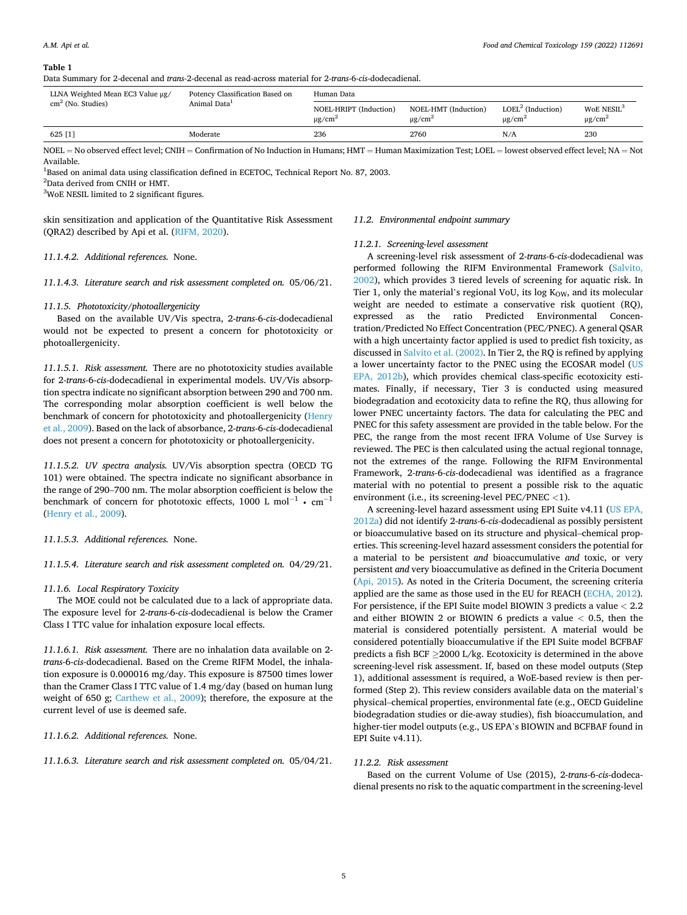#### <span id="page-4-0"></span>**Table 1**

Data Summary for 2-decenal and *trans-*2-decenal as read-across material for 2-*trans*-6-*cis*-dodecadienal.

| LLNA Weighted Mean EC3 Value µg/<br>$\text{cm}^2$ (No. Studies) | Potency Classification Based on<br>Animal Data <sup>1</sup> | Human Data                                        |                                                 |                                                |                                           |
|-----------------------------------------------------------------|-------------------------------------------------------------|---------------------------------------------------|-------------------------------------------------|------------------------------------------------|-------------------------------------------|
|                                                                 |                                                             | NOEL-HRIPT (Induction)<br>$\mu$ g/cm <sup>2</sup> | NOEL-HMT (Induction)<br>$\mu$ g/cm <sup>2</sup> | $LOEL2$ (Induction)<br>$\mu$ g/cm <sup>2</sup> | WOE NESIL $^3$<br>$\mu$ g/cm <sup>2</sup> |
| 625 [1]                                                         | Moderate                                                    | 236                                               | 2760                                            | N/A                                            | 230                                       |
|                                                                 |                                                             |                                                   |                                                 |                                                |                                           |

NOEL = No observed effect level; CNIH = Confirmation of No Induction in Humans; HMT = Human Maximization Test; LOEL = lowest observed effect level; NA = Not Available.

<sup>1</sup>Based on animal data using classification defined in ECETOC, Technical Report No. 87, 2003.<br><sup>2</sup>Data derived from CNIH or HMT

<sup>2</sup>Data derived from CNIH or HMT.<br><sup>3</sup>WoE NESIL limited to 2 significant figures.

skin sensitization and application of the Quantitative Risk Assessment (QRA2) described by Api et al. ([RIFM, 2020](#page-8-0)).

## *11.1.4.2. Additional references.* None.

*11.1.4.3. Literature search and risk assessment completed on.* 05/06/21.

#### *11.1.5. Phototoxicity/photoallergenicity*

Based on the available UV/Vis spectra, 2-*trans-*6-*cis-*dodecadienal would not be expected to present a concern for phototoxicity or photoallergenicity.

*11.1.5.1. Risk assessment.* There are no phototoxicity studies available for 2-*trans-*6-*cis-*dodecadienal in experimental models. UV/Vis absorption spectra indicate no significant absorption between 290 and 700 nm. The corresponding molar absorption coefficient is well below the benchmark of concern for phototoxicity and photoallergenicity ([Henry](#page-8-0)  [et al., 2009](#page-8-0)). Based on the lack of absorbance, 2-*trans-*6-*cis-*dodecadienal does not present a concern for phototoxicity or photoallergenicity.

*11.1.5.2. UV spectra analysis.* UV/Vis absorption spectra (OECD TG 101) were obtained. The spectra indicate no significant absorbance in the range of 290–700 nm. The molar absorption coefficient is below the benchmark of concern for phototoxic effects, 1000 L mol<sup>-1</sup> • cm<sup>-1</sup> ([Henry et al., 2009\)](#page-8-0).

## *11.1.5.3. Additional references.* None.

*11.1.5.4. Literature search and risk assessment completed on.* 04/29/21.

## *11.1.6. Local Respiratory Toxicity*

The MOE could not be calculated due to a lack of appropriate data. The exposure level for 2-*trans-*6-*cis-*dodecadienal is below the Cramer Class I TTC value for inhalation exposure local effects.

*11.1.6.1. Risk assessment.* There are no inhalation data available on 2 *trans-*6-*cis-*dodecadienal. Based on the Creme RIFM Model, the inhalation exposure is 0.000016 mg/day. This exposure is 87500 times lower than the Cramer Class I TTC value of 1.4 mg/day (based on human lung weight of 650 g; [Carthew et al., 2009\)](#page-8-0); therefore, the exposure at the current level of use is deemed safe.

*11.1.6.2. Additional references.* None.

*11.1.6.3. Literature search and risk assessment completed on.* 05/04/21.

### *11.2. Environmental endpoint summary*

#### *11.2.1. Screening-level assessment*

A screening-level risk assessment of 2-*trans-*6-*cis-*dodecadienal was performed following the RIFM Environmental Framework [\(Salvito,](#page-9-0)  [2002\)](#page-9-0), which provides 3 tiered levels of screening for aquatic risk. In Tier 1, only the material's regional VoU, its log  $K<sub>OW</sub>$ , and its molecular weight are needed to estimate a conservative risk quotient (RQ), expressed as the ratio Predicted Environmental Concentration/Predicted No Effect Concentration (PEC/PNEC). A general QSAR with a high uncertainty factor applied is used to predict fish toxicity, as discussed in [Salvito et al. \(2002\)](#page-9-0). In Tier 2, the RQ is refined by applying a lower uncertainty factor to the PNEC using the ECOSAR model ([US](#page-9-0)  [EPA, 2012b](#page-9-0)), which provides chemical class-specific ecotoxicity estimates. Finally, if necessary, Tier 3 is conducted using measured biodegradation and ecotoxicity data to refine the RQ, thus allowing for lower PNEC uncertainty factors. The data for calculating the PEC and PNEC for this safety assessment are provided in the table below. For the PEC, the range from the most recent IFRA Volume of Use Survey is reviewed. The PEC is then calculated using the actual regional tonnage, not the extremes of the range. Following the RIFM Environmental Framework, 2-*trans-*6-*cis-*dodecadienal was identified as a fragrance material with no potential to present a possible risk to the aquatic environment (i.e., its screening-level PEC/PNEC *<*1).

A screening-level hazard assessment using EPI Suite v4.11 ([US EPA,](#page-9-0)  [2012a\)](#page-9-0) did not identify 2-*trans-*6-*cis-*dodecadienal as possibly persistent or bioaccumulative based on its structure and physical–chemical properties. This screening-level hazard assessment considers the potential for a material to be persistent *and* bioaccumulative *and* toxic, or very persistent *and* very bioaccumulative as defined in the Criteria Document ([Api, 2015\)](#page-8-0). As noted in the Criteria Document, the screening criteria applied are the same as those used in the EU for REACH [\(ECHA, 2012](#page-8-0)). For persistence, if the EPI Suite model BIOWIN 3 predicts a value *<* 2.2 and either BIOWIN 2 or BIOWIN 6 predicts a value *<* 0.5, then the material is considered potentially persistent. A material would be considered potentially bioaccumulative if the EPI Suite model BCFBAF predicts a fish BCF ≥2000 L/kg. Ecotoxicity is determined in the above screening-level risk assessment. If, based on these model outputs (Step 1), additional assessment is required, a WoE-based review is then performed (Step 2). This review considers available data on the material's physical–chemical properties, environmental fate (e.g., OECD Guideline biodegradation studies or die-away studies), fish bioaccumulation, and higher-tier model outputs (e.g., US EPA's BIOWIN and BCFBAF found in EPI Suite v4.11).

## *11.2.2. Risk assessment*

Based on the current Volume of Use (2015), 2-*trans-*6-*cis-*dodecadienal presents no risk to the aquatic compartment in the screening-level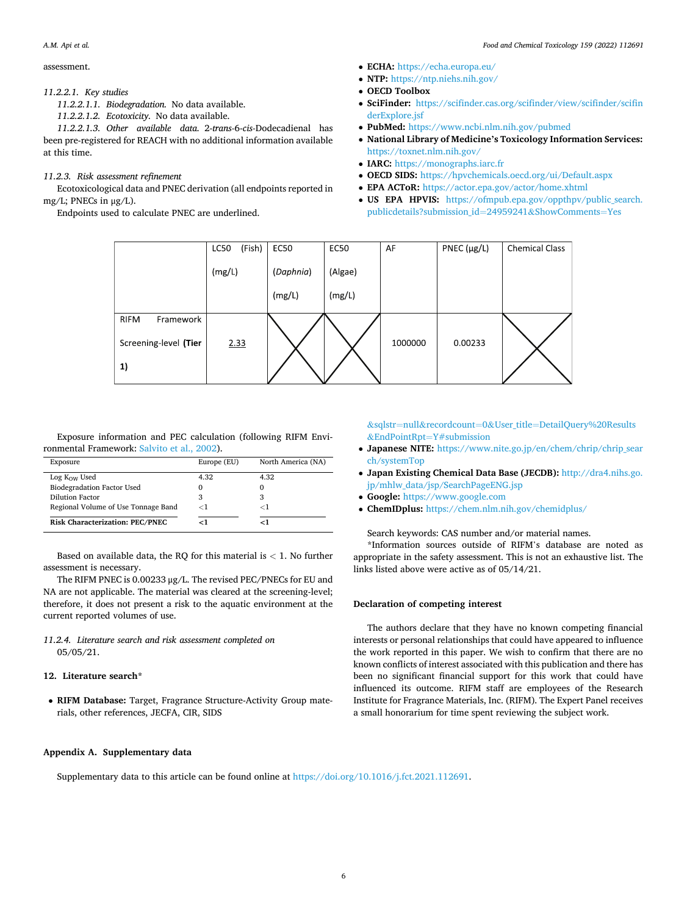#### assessment.

## *11.2.2.1. Key studies*

*11.2.2.1.1. Biodegradation.* No data available.

*11.2.2.1.2. Ecotoxicity.* No data available.

*11.2.2.1.3. Other available data.* 2-*trans-*6-*cis-*Dodecadienal has been pre-registered for REACH with no additional information available at this time.

## *11.2.3. Risk assessment refinement*

Ecotoxicological data and PNEC derivation (all endpoints reported in mg/L; PNECs in μg/L).

Endpoints used to calculate PNEC are underlined.

- **ECHA:** <https://echa.europa.eu/>
- **NTP:** <https://ntp.niehs.nih.gov/>
- **OECD Toolbox**
- **SciFinder:** [https://scifinder.cas.org/scifinder/view/scifinder/scifin](https://scifinder.cas.org/scifinder/view/scifinder/scifinderExplore.jsf)  [derExplore.jsf](https://scifinder.cas.org/scifinder/view/scifinder/scifinderExplore.jsf)
- **PubMed:** <https://www.ncbi.nlm.nih.gov/pubmed>
- **National Library of Medicine's Toxicology Information Services:**  <https://toxnet.nlm.nih.gov/>
- **IARC:** <https://monographs.iarc.fr>
- **OECD SIDS:** <https://hpvchemicals.oecd.org/ui/Default.aspx>
- **EPA ACToR:** <https://actor.epa.gov/actor/home.xhtml>
- **US EPA HPVIS:** [https://ofmpub.epa.gov/oppthpv/public\\_search.](https://ofmpub.epa.gov/oppthpv/public_search.publicdetails?submission_id=24959241&ShowComments=Yes&sqlstr=null&recordcount=0&User_title=DetailQuery%20Results&EndPointRpt=Y#submission)  [publicdetails?submission\\_id](https://ofmpub.epa.gov/oppthpv/public_search.publicdetails?submission_id=24959241&ShowComments=Yes&sqlstr=null&recordcount=0&User_title=DetailQuery%20Results&EndPointRpt=Y#submission)=24959241&ShowComments=Yes

| (Fish)<br>LC50 | EC50      | <b>EC50</b> | AF      | PNEC $(\mu g/L)$ | <b>Chemical Class</b> |
|----------------|-----------|-------------|---------|------------------|-----------------------|
| (mg/L)         | (Daphnia) | (Algae)     |         |                  |                       |
|                | (mg/L)    | (mg/L)      |         |                  |                       |
|                |           |             |         |                  |                       |
| 2.33           |           |             | 1000000 | 0.00233          |                       |
|                |           |             |         |                  |                       |
|                |           |             |         |                  |                       |

Exposure information and PEC calculation (following RIFM Environmental Framework: [Salvito et al., 2002\)](#page-9-0).

| Exposure                               | Europe (EU) | North America (NA) |
|----------------------------------------|-------------|--------------------|
| Log K <sub>OW</sub> Used               | 4.32        | 4.32               |
| <b>Biodegradation Factor Used</b>      | 0           | 0                  |
| Dilution Factor                        | 3           | 3                  |
| Regional Volume of Use Tonnage Band    | -1          | -1                 |
| <b>Risk Characterization: PEC/PNEC</b> |             |                    |

Based on available data, the RQ for this material is *<* 1. No further assessment is necessary.

The RIFM PNEC is 0.00233 μg/L. The revised PEC/PNECs for EU and NA are not applicable. The material was cleared at the screening-level; therefore, it does not present a risk to the aquatic environment at the current reported volumes of use.

*11.2.4. Literature search and risk assessment completed on*  05/05/21.

# **12. Literature search\***

• **RIFM Database:** Target, Fragrance Structure-Activity Group materials, other references, JECFA, CIR, SIDS

&sqlstr=null&recordcount=0&User\_title=[DetailQuery%20Results](https://ofmpub.epa.gov/oppthpv/public_search.publicdetails?submission_id=24959241&ShowComments=Yes&sqlstr=null&recordcount=0&User_title=DetailQuery%20Results&EndPointRpt=Y#submission) &EndPointRpt=[Y#submission](https://ofmpub.epa.gov/oppthpv/public_search.publicdetails?submission_id=24959241&ShowComments=Yes&sqlstr=null&recordcount=0&User_title=DetailQuery%20Results&EndPointRpt=Y#submission)

- **Japanese NITE:** [https://www.nite.go.jp/en/chem/chrip/chrip\\_sear](https://www.nite.go.jp/en/chem/chrip/chrip_search/systemTop)  [ch/systemTop](https://www.nite.go.jp/en/chem/chrip/chrip_search/systemTop)
- **Japan Existing Chemical Data Base (JECDB):** [http://dra4.nihs.go.](http://dra4.nihs.go.jp/mhlw_data/jsp/SearchPageENG.jsp)  [jp/mhlw\\_data/jsp/SearchPageENG.jsp](http://dra4.nihs.go.jp/mhlw_data/jsp/SearchPageENG.jsp)
- **Google:** <https://www.google.com>
- **ChemIDplus:** <https://chem.nlm.nih.gov/chemidplus/>

Search keywords: CAS number and/or material names.

\*Information sources outside of RIFM's database are noted as appropriate in the safety assessment. This is not an exhaustive list. The links listed above were active as of 05/14/21.

# **Declaration of competing interest**

The authors declare that they have no known competing financial interests or personal relationships that could have appeared to influence the work reported in this paper. We wish to confirm that there are no known conflicts of interest associated with this publication and there has been no significant financial support for this work that could have influenced its outcome. RIFM staff are employees of the Research Institute for Fragrance Materials, Inc. (RIFM). The Expert Panel receives a small honorarium for time spent reviewing the subject work.

# **Appendix A. Supplementary data**

Supplementary data to this article can be found online at [https://doi.org/10.1016/j.fct.2021.112691.](https://doi.org/10.1016/j.fct.2021.112691)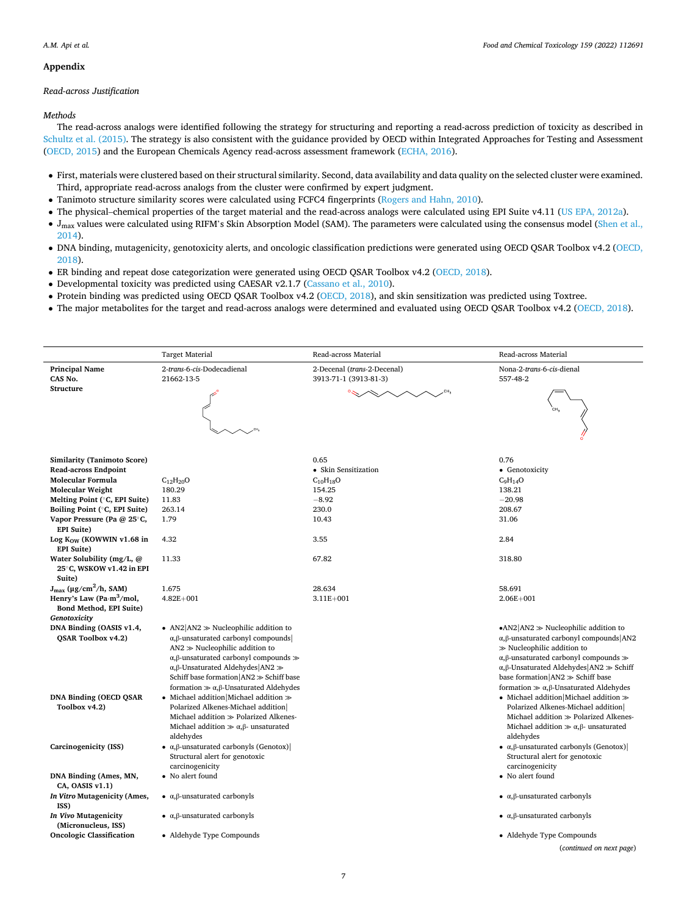# **Appendix**

## *Read-across Justification*

# *Methods*

The read-across analogs were identified following the strategy for structuring and reporting a read-across prediction of toxicity as described in [Schultz et al. \(2015\)](#page-9-0). The strategy is also consistent with the guidance provided by OECD within Integrated Approaches for Testing and Assessment ([OECD, 2015](#page-8-0)) and the European Chemicals Agency read-across assessment framework [\(ECHA, 2016\)](#page-8-0).

- First, materials were clustered based on their structural similarity. Second, data availability and data quality on the selected cluster were examined. Third, appropriate read-across analogs from the cluster were confirmed by expert judgment.
- Tanimoto structure similarity scores were calculated using FCFC4 fingerprints ([Rogers and Hahn, 2010](#page-9-0)).
- The physical–chemical properties of the target material and the read-across analogs were calculated using EPI Suite v4.11 ([US EPA, 2012a](#page-9-0)).
- J<sub>max</sub> values were calculated using RIFM's Skin Absorption Model (SAM). The parameters were calculated using the consensus model (Shen et al., [2014](#page-9-0)).
- DNA binding, mutagenicity, genotoxicity alerts, and oncologic classification predictions were generated using OECD QSAR Toolbox v4.2 [\(OECD,](#page-8-0)  [2018](#page-8-0)).
- ER binding and repeat dose categorization were generated using OECD QSAR Toolbox v4.2 [\(OECD, 2018\)](#page-8-0).
- Developmental toxicity was predicted using CAESAR v2.1.7 [\(Cassano et al., 2010](#page-8-0)).
- Protein binding was predicted using OECD QSAR Toolbox v4.2 ([OECD, 2018](#page-8-0)), and skin sensitization was predicted using Toxtree.
- The major metabolites for the target and read-across analogs were determined and evaluated using OECD QSAR Toolbox v4.2 ([OECD, 2018](#page-8-0)).

|                                                                                                                                                           | <b>Target Material</b>                                                                                                                                                                                                                                                                                                                                             | Read-across Material                                                 | Read-across Material                                                                                                                                                                                                                                                                                                                                                   |
|-----------------------------------------------------------------------------------------------------------------------------------------------------------|--------------------------------------------------------------------------------------------------------------------------------------------------------------------------------------------------------------------------------------------------------------------------------------------------------------------------------------------------------------------|----------------------------------------------------------------------|------------------------------------------------------------------------------------------------------------------------------------------------------------------------------------------------------------------------------------------------------------------------------------------------------------------------------------------------------------------------|
| <b>Principal Name</b><br>CAS No.<br><b>Structure</b>                                                                                                      | 2-trans-6-cis-Dodecadienal<br>21662-13-5                                                                                                                                                                                                                                                                                                                           | 2-Decenal (trans-2-Decenal)<br>3913-71-1 (3913-81-3)                 | Nona-2-trans-6-cis-dienal<br>557-48-2                                                                                                                                                                                                                                                                                                                                  |
| <b>Similarity (Tanimoto Score)</b><br><b>Read-across Endpoint</b><br><b>Molecular Formula</b><br><b>Molecular Weight</b><br>Melting Point (°C, EPI Suite) | $C_{12}H_{20}O$<br>180.29<br>11.83                                                                                                                                                                                                                                                                                                                                 | 0.65<br>• Skin Sensitization<br>$C_{10}H_{18}O$<br>154.25<br>$-8.92$ | 0.76<br>• Genotoxicity<br>$C_9H_{14}O$<br>138.21<br>$-20.98$                                                                                                                                                                                                                                                                                                           |
| Boiling Point (°C, EPI Suite)<br>Vapor Pressure (Pa @ 25°C,<br><b>EPI</b> Suite)                                                                          | 263.14<br>1.79                                                                                                                                                                                                                                                                                                                                                     | 230.0<br>10.43                                                       | 208.67<br>31.06                                                                                                                                                                                                                                                                                                                                                        |
| Log $K_{OW}$ (KOWWIN v1.68 in<br><b>EPI</b> Suite)                                                                                                        | 4.32                                                                                                                                                                                                                                                                                                                                                               | 3.55                                                                 | 2.84                                                                                                                                                                                                                                                                                                                                                                   |
| Water Solubility (mg/L, @<br>25°C, WSKOW v1.42 in EPI<br>Suite)                                                                                           | 11.33                                                                                                                                                                                                                                                                                                                                                              | 67.82                                                                | 318.80                                                                                                                                                                                                                                                                                                                                                                 |
| $J_{max}$ (µg/cm <sup>2</sup> /h, SAM)<br>Henry's Law (Pa $\cdot$ m <sup>3</sup> /mol,<br>Bond Method, EPI Suite)<br>Genotoxicity                         | 1.675<br>$4.82E + 001$                                                                                                                                                                                                                                                                                                                                             | 28.634<br>$3.11E + 001$                                              | 58.691<br>$2.06E + 001$                                                                                                                                                                                                                                                                                                                                                |
| DNA Binding (OASIS v1.4,<br>QSAR Toolbox v4.2)                                                                                                            | • $AN2 AN2 \gg Nucleophilic addition to$<br>$\alpha$ , $\beta$ -unsaturated carbonyl compounds<br>$AN2 \gg Nucleophilic$ addition to<br>$\alpha$ , $\beta$ -unsaturated carbonyl compounds $\gg$<br>$\alpha$ , $\beta$ -Unsaturated Aldehydes   AN2 $\gg$<br>Schiff base formation $ AN2 \gg S$ chiff base<br>formation $\gg \alpha, \beta$ -Unsaturated Aldehydes |                                                                      | • $AN2 AN2 \gg Nucleophilic$ addition to<br>$\alpha$ , $\beta$ -unsaturated carbonyl compounds   AN2<br>$\gg$ Nucleophilic addition to<br>$\alpha$ , $\beta$ -unsaturated carbonyl compounds $\gg$<br>$\alpha$ , $\beta$ -Unsaturated Aldehydes   AN2 $\gg$ Schiff<br>base formation $ AN2 \gg$ Schiff base<br>formation $\gg \alpha$ , $\beta$ -Unsaturated Aldehydes |
| DNA Binding (OECD QSAR<br>Toolbox v4.2)                                                                                                                   | • Michael addition Michael addition $\gg$<br>Polarized Alkenes-Michael addition<br>Michael addition >> Polarized Alkenes-<br>Michael addition $\gg \alpha, \beta$ - unsaturated<br>aldehydes                                                                                                                                                                       |                                                                      | • Michael addition Michael addition $\gg$<br>Polarized Alkenes-Michael addition<br>Michael addition >> Polarized Alkenes-<br>Michael addition $\gg \alpha, \beta$ - unsaturated<br>aldehydes                                                                                                                                                                           |
| Carcinogenicity (ISS)                                                                                                                                     | • α, β-unsaturated carbonyls (Genotox)<br>Structural alert for genotoxic<br>carcinogenicity                                                                                                                                                                                                                                                                        |                                                                      | • α,β-unsaturated carbonyls (Genotox)<br>Structural alert for genotoxic<br>carcinogenicity                                                                                                                                                                                                                                                                             |
| DNA Binding (Ames, MN,<br>CA, OASIS v1.1)                                                                                                                 | • No alert found                                                                                                                                                                                                                                                                                                                                                   |                                                                      | • No alert found                                                                                                                                                                                                                                                                                                                                                       |
| In Vitro Mutagenicity (Ames,<br>ISS)                                                                                                                      | $\bullet$ $\alpha$ , $\beta$ -unsaturated carbonyls                                                                                                                                                                                                                                                                                                                |                                                                      | • $\alpha$ , $\beta$ -unsaturated carbonyls                                                                                                                                                                                                                                                                                                                            |
| In Vivo Mutagenicity<br>(Micronucleus, ISS)                                                                                                               | $\bullet$ $\alpha$ , $\beta$ -unsaturated carbonyls                                                                                                                                                                                                                                                                                                                |                                                                      | • $\alpha$ , $\beta$ -unsaturated carbonyls                                                                                                                                                                                                                                                                                                                            |
| <b>Oncologic Classification</b>                                                                                                                           | • Aldehyde Type Compounds                                                                                                                                                                                                                                                                                                                                          |                                                                      | • Aldehyde Type Compounds                                                                                                                                                                                                                                                                                                                                              |
|                                                                                                                                                           |                                                                                                                                                                                                                                                                                                                                                                    |                                                                      | (continued on next page)                                                                                                                                                                                                                                                                                                                                               |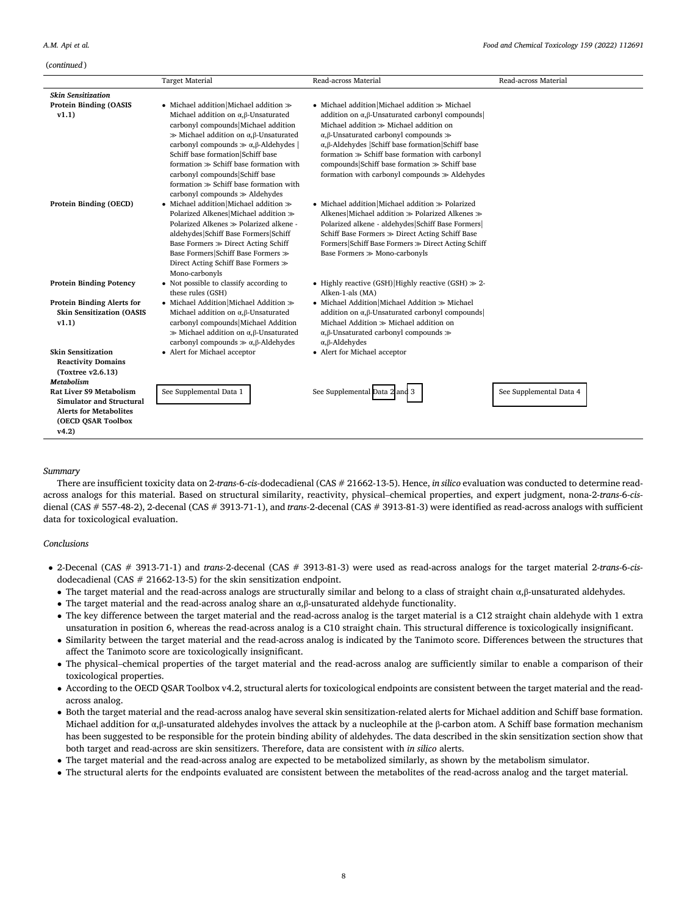(*continued* )

|                                                                                                                                   | <b>Target Material</b>                                                                                                                                                                                                                                                                                                                                                                                                                                    | Read-across Material                                                                                                                                                                                                                                                                                                                                                                                                                                   | Read-across Material    |
|-----------------------------------------------------------------------------------------------------------------------------------|-----------------------------------------------------------------------------------------------------------------------------------------------------------------------------------------------------------------------------------------------------------------------------------------------------------------------------------------------------------------------------------------------------------------------------------------------------------|--------------------------------------------------------------------------------------------------------------------------------------------------------------------------------------------------------------------------------------------------------------------------------------------------------------------------------------------------------------------------------------------------------------------------------------------------------|-------------------------|
| <b>Skin Sensitization</b><br><b>Protein Binding (OASIS</b><br>v1.1)                                                               | • Michael addition Michael addition >><br>Michael addition on $\alpha$ , $\beta$ -Unsaturated<br>carbonyl compounds Michael addition<br>$\gg$ Michael addition on $\alpha$ , $\beta$ -Unsaturated<br>carbonyl compounds $\gg \alpha$ , $\beta$ -Aldehydes<br>Schiff base formation Schiff base<br>formation >> Schiff base formation with<br>carbonyl compounds Schiff base<br>formation >> Schiff base formation with<br>carbonyl compounds >> Aldehydes | • Michael addition Michael addition >> Michael<br>addition on $\alpha$ , $\beta$ -Unsaturated carbonyl compounds<br>Michael addition >> Michael addition on<br>$\alpha$ , $\beta$ -Unsaturated carbonyl compounds $\gg$<br>$\alpha$ , $\beta$ -Aldehydes  Schiff base formation Schiff base<br>formation >> Schiff base formation with carbonyl<br>compounds Schiff base formation >> Schiff base<br>formation with carbonyl compounds $\gg$ Aldehydes |                         |
| Protein Binding (OECD)                                                                                                            | • Michael addition Michael addition >><br>Polarized Alkenes Michael addition >><br>Polarized Alkenes >> Polarized alkene -<br>aldehydes Schiff Base Formers Schiff<br>Base Formers >> Direct Acting Schiff<br>Base Formers Schiff Base Formers >><br>Direct Acting Schiff Base Formers >><br>Mono-carbonyls                                                                                                                                               | • Michael addition Michael addition >> Polarized<br>Alkenes Michael addition >> Polarized Alkenes >><br>Polarized alkene - aldehydes Schiff Base Formers<br>Schiff Base Formers >> Direct Acting Schiff Base<br>Formers Schiff Base Formers >> Direct Acting Schiff<br>Base Formers >> Mono-carbonyls                                                                                                                                                  |                         |
| <b>Protein Binding Potency</b>                                                                                                    | • Not possible to classify according to<br>these rules (GSH)                                                                                                                                                                                                                                                                                                                                                                                              | • Highly reactive (GSH) Highly reactive (GSH) $\gg$ 2-<br>Alken-1-als (MA)                                                                                                                                                                                                                                                                                                                                                                             |                         |
| <b>Protein Binding Alerts for</b><br><b>Skin Sensitization (OASIS</b><br>v1.1)                                                    | • Michael Addition Michael Addition >><br>Michael addition on $\alpha$ , $\beta$ -Unsaturated<br>carbonyl compounds Michael Addition<br>$\gg$ Michael addition on $\alpha$ , $\beta$ -Unsaturated<br>carbonyl compounds $\gg \alpha$ , $\beta$ -Aldehydes                                                                                                                                                                                                 | • Michael Addition Michael Addition >> Michael<br>addition on $\alpha$ , $\beta$ -Unsaturated carbonyl compounds<br>Michael Addition >> Michael addition on<br>$\alpha$ , $\beta$ -Unsaturated carbonyl compounds $\gg$<br>$\alpha$ , $\beta$ -Aldehydes                                                                                                                                                                                               |                         |
| <b>Skin Sensitization</b><br><b>Reactivity Domains</b><br>(Toxtree v2.6.13)<br><b>Metabolism</b>                                  | • Alert for Michael acceptor                                                                                                                                                                                                                                                                                                                                                                                                                              | • Alert for Michael acceptor                                                                                                                                                                                                                                                                                                                                                                                                                           |                         |
| <b>Rat Liver S9 Metabolism</b><br><b>Simulator and Structural</b><br><b>Alerts for Metabolites</b><br>(OECD QSAR Toolbox<br>v4.2) | See Supplemental Data 1                                                                                                                                                                                                                                                                                                                                                                                                                                   | See Supplemental Data 2 and 3                                                                                                                                                                                                                                                                                                                                                                                                                          | See Supplemental Data 4 |

## *Summary*

There are insufficient toxicity data on 2-*trans-*6-*cis-*dodecadienal (CAS # 21662-13-5). Hence, *in silico* evaluation was conducted to determine readacross analogs for this material. Based on structural similarity, reactivity, physical–chemical properties, and expert judgment, nona-2-*trans-*6-*cis*dienal (CAS # 557-48-2), 2-decenal (CAS # 3913-71-1), and *trans-*2-decenal (CAS # 3913-81-3) were identified as read-across analogs with sufficient data for toxicological evaluation.

# *Conclusions*

- 2-Decenal (CAS # 3913-71-1) and *trans-*2-decenal (CAS # 3913-81-3) were used as read-across analogs for the target material 2-*trans-*6-*cis*dodecadienal (CAS # 21662-13-5) for the skin sensitization endpoint.
	- The target material and the read-across analogs are structurally similar and belong to a class of straight chain  $\alpha, \beta$ -unsaturated aldehydes.
	- The target material and the read-across analog share an  $\alpha$ , $\beta$ -unsaturated aldehyde functionality.
	- The key difference between the target material and the read-across analog is the target material is a C12 straight chain aldehyde with 1 extra unsaturation in position 6, whereas the read-across analog is a C10 straight chain. This structural difference is toxicologically insignificant.
	- Similarity between the target material and the read-across analog is indicated by the Tanimoto score. Differences between the structures that affect the Tanimoto score are toxicologically insignificant.
	- The physical–chemical properties of the target material and the read-across analog are sufficiently similar to enable a comparison of their toxicological properties.
	- According to the OECD QSAR Toolbox v4.2, structural alerts for toxicological endpoints are consistent between the target material and the readacross analog.
	- Both the target material and the read-across analog have several skin sensitization-related alerts for Michael addition and Schiff base formation. Michael addition for α,β-unsaturated aldehydes involves the attack by a nucleophile at the β-carbon atom. A Schiff base formation mechanism has been suggested to be responsible for the protein binding ability of aldehydes. The data described in the skin sensitization section show that both target and read-across are skin sensitizers. Therefore, data are consistent with *in silico* alerts.
	- The target material and the read-across analog are expected to be metabolized similarly, as shown by the metabolism simulator.
	- The structural alerts for the endpoints evaluated are consistent between the metabolites of the read-across analog and the target material.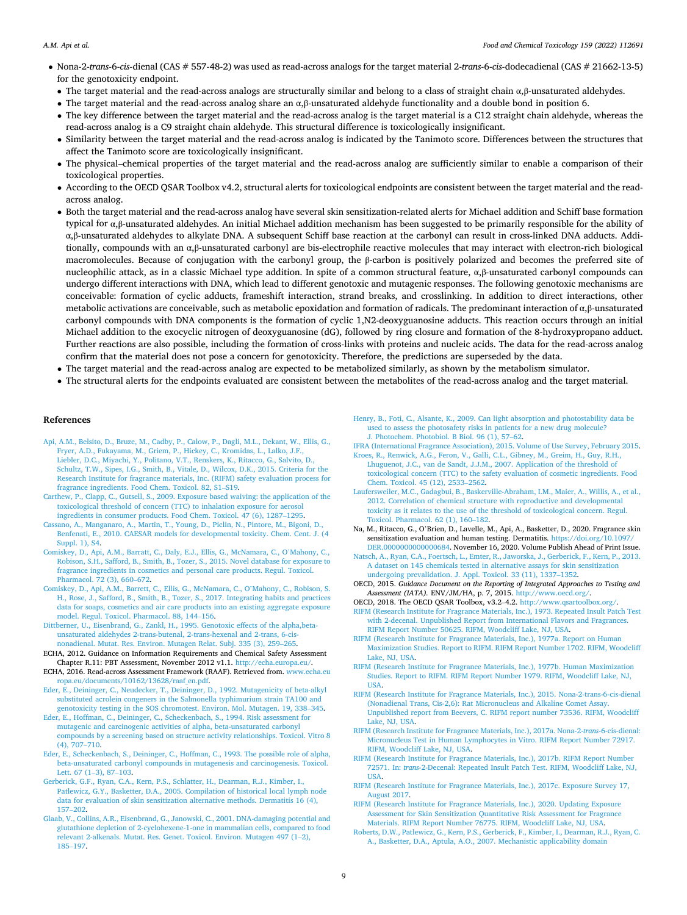- <span id="page-8-0"></span>• Nona-2-*trans-*6-*cis-*dienal (CAS # 557-48-2) was used as read-across analogs for the target material 2-*trans-*6-*cis-*dodecadienal (CAS # 21662-13-5) for the genotoxicity endpoint.
	- The target material and the read-across analogs are structurally similar and belong to a class of straight chain  $\alpha, \beta$ -unsaturated aldehydes.
	- The target material and the read-across analog share an  $\alpha, \beta$ -unsaturated aldehyde functionality and a double bond in position 6.
	- The key difference between the target material and the read-across analog is the target material is a C12 straight chain aldehyde, whereas the read-across analog is a C9 straight chain aldehyde. This structural difference is toxicologically insignificant.
	- Similarity between the target material and the read-across analog is indicated by the Tanimoto score. Differences between the structures that affect the Tanimoto score are toxicologically insignificant.
	- The physical–chemical properties of the target material and the read-across analog are sufficiently similar to enable a comparison of their toxicological properties.
	- According to the OECD QSAR Toolbox v4.2, structural alerts for toxicological endpoints are consistent between the target material and the readacross analog.
	- Both the target material and the read-across analog have several skin sensitization-related alerts for Michael addition and Schiff base formation typical for α,β-unsaturated aldehydes. An initial Michael addition mechanism has been suggested to be primarily responsible for the ability of α,β-unsaturated aldehydes to alkylate DNA. A subsequent Schiff base reaction at the carbonyl can result in cross-linked DNA adducts. Additionally, compounds with an α,β-unsaturated carbonyl are bis-electrophile reactive molecules that may interact with electron-rich biological macromolecules. Because of conjugation with the carbonyl group, the β-carbon is positively polarized and becomes the preferred site of nucleophilic attack, as in a classic Michael type addition. In spite of a common structural feature, α,β-unsaturated carbonyl compounds can undergo different interactions with DNA, which lead to different genotoxic and mutagenic responses. The following genotoxic mechanisms are conceivable: formation of cyclic adducts, frameshift interaction, strand breaks, and crosslinking. In addition to direct interactions, other metabolic activations are conceivable, such as metabolic epoxidation and formation of radicals. The predominant interaction of α,β-unsaturated carbonyl compounds with DNA components is the formation of cyclic 1,N2-deoxyguanosine adducts. This reaction occurs through an initial Michael addition to the exocyclic nitrogen of deoxyguanosine (dG), followed by ring closure and formation of the 8-hydroxypropano adduct. Further reactions are also possible, including the formation of cross-links with proteins and nucleic acids. The data for the read-across analog confirm that the material does not pose a concern for genotoxicity. Therefore, the predictions are superseded by the data.
	- The target material and the read-across analog are expected to be metabolized similarly, as shown by the metabolism simulator.
	- The structural alerts for the endpoints evaluated are consistent between the metabolites of the read-across analog and the target material.

# **References**

- [Api, A.M., Belsito, D., Bruze, M., Cadby, P., Calow, P., Dagli, M.L., Dekant, W., Ellis, G.,](http://refhub.elsevier.com/S0278-6915(21)00724-9/sref1)  [Fryer, A.D., Fukayama, M., Griem, P., Hickey, C., Kromidas, L., Lalko, J.F.,](http://refhub.elsevier.com/S0278-6915(21)00724-9/sref1)  [Liebler, D.C., Miyachi, Y., Politano, V.T., Renskers, K., Ritacco, G., Salvito, D.,](http://refhub.elsevier.com/S0278-6915(21)00724-9/sref1)  [Schultz, T.W., Sipes, I.G., Smith, B., Vitale, D., Wilcox, D.K., 2015. Criteria for the](http://refhub.elsevier.com/S0278-6915(21)00724-9/sref1)  [Research Institute for fragrance materials, Inc. \(RIFM\) safety evaluation process for](http://refhub.elsevier.com/S0278-6915(21)00724-9/sref1)  [fragrance ingredients. Food Chem. Toxicol. 82, S1](http://refhub.elsevier.com/S0278-6915(21)00724-9/sref1)–S19.
- [Carthew, P., Clapp, C., Gutsell, S., 2009. Exposure based waiving: the application of the](http://refhub.elsevier.com/S0278-6915(21)00724-9/sref2)  [toxicological threshold of concern \(TTC\) to inhalation exposure for aerosol](http://refhub.elsevier.com/S0278-6915(21)00724-9/sref2) [ingredients in consumer products. Food Chem. Toxicol. 47 \(6\), 1287](http://refhub.elsevier.com/S0278-6915(21)00724-9/sref2)–1295.
- [Cassano, A., Manganaro, A., Martin, T., Young, D., Piclin, N., Pintore, M., Bigoni, D.,](http://refhub.elsevier.com/S0278-6915(21)00724-9/sref3) [Benfenati, E., 2010. CAESAR models for developmental toxicity. Chem. Cent. J. \(4](http://refhub.elsevier.com/S0278-6915(21)00724-9/sref3)  [Suppl. 1\), S4](http://refhub.elsevier.com/S0278-6915(21)00724-9/sref3).
- [Comiskey, D., Api, A.M., Barratt, C., Daly, E.J., Ellis, G., McNamara, C., O](http://refhub.elsevier.com/S0278-6915(21)00724-9/sref4)'Mahony, C., [Robison, S.H., Safford, B., Smith, B., Tozer, S., 2015. Novel database for exposure to](http://refhub.elsevier.com/S0278-6915(21)00724-9/sref4)  [fragrance ingredients in cosmetics and personal care products. Regul. Toxicol.](http://refhub.elsevier.com/S0278-6915(21)00724-9/sref4) [Pharmacol. 72 \(3\), 660](http://refhub.elsevier.com/S0278-6915(21)00724-9/sref4)–672.
- [Comiskey, D., Api, A.M., Barrett, C., Ellis, G., McNamara, C., O](http://refhub.elsevier.com/S0278-6915(21)00724-9/sref5)'Mahony, C., Robison, S. [H., Rose, J., Safford, B., Smith, B., Tozer, S., 2017. Integrating habits and practices](http://refhub.elsevier.com/S0278-6915(21)00724-9/sref5)  [data for soaps, cosmetics and air care products into an existing aggregate exposure](http://refhub.elsevier.com/S0278-6915(21)00724-9/sref5)  [model. Regul. Toxicol. Pharmacol. 88, 144](http://refhub.elsevier.com/S0278-6915(21)00724-9/sref5)–156.
- [Dittberner, U., Eisenbrand, G., Zankl, H., 1995. Genotoxic effects of the alpha,beta](http://refhub.elsevier.com/S0278-6915(21)00724-9/sref6)[unsaturated aldehydes 2-trans-butenal, 2-trans-hexenal and 2-trans, 6-cis](http://refhub.elsevier.com/S0278-6915(21)00724-9/sref6)[nonadienal. Mutat. Res. Environ. Mutagen Relat. Subj. 335 \(3\), 259](http://refhub.elsevier.com/S0278-6915(21)00724-9/sref6)–265.
- ECHA, 2012. Guidance on Information Requirements and Chemical Safety Assessment Chapter R.11: PBT Assessment, November 2012 v1.1. [http://echa.europa.eu/.](http://echa.europa.eu/)
- ECHA, 2016. Read-across Assessment Framework (RAAF). Retrieved from. [www.echa.eu](http://www.echa.europa.eu/documents/10162/13628/raaf_en.pdf)  [ropa.eu/documents/10162/13628/raaf\\_en.pdf.](http://www.echa.europa.eu/documents/10162/13628/raaf_en.pdf)
- [Eder, E., Deininger, C., Neudecker, T., Deininger, D., 1992. Mutagenicity of beta-alkyl](http://refhub.elsevier.com/S0278-6915(21)00724-9/sref9) [substituted acrolein congeners in the Salmonella typhimurium strain TA100 and](http://refhub.elsevier.com/S0278-6915(21)00724-9/sref9)  [genotoxicity testing in the SOS chromotest. Environ. Mol. Mutagen. 19, 338](http://refhub.elsevier.com/S0278-6915(21)00724-9/sref9)–345.
- [Eder, E., Hoffman, C., Deininger, C., Scheckenbach, S., 1994. Risk assessment for](http://refhub.elsevier.com/S0278-6915(21)00724-9/sref10) [mutagenic and carcinogenic activities of alpha, beta-unsaturated carbonyl](http://refhub.elsevier.com/S0278-6915(21)00724-9/sref10)  [compounds by a screening based on structure activity relationships. Toxicol. Vitro 8](http://refhub.elsevier.com/S0278-6915(21)00724-9/sref10)  [\(4\), 707](http://refhub.elsevier.com/S0278-6915(21)00724-9/sref10)–710.
- [Eder, E., Scheckenbach, S., Deininger, C., Hoffman, C., 1993. The possible role of alpha,](http://refhub.elsevier.com/S0278-6915(21)00724-9/sref11)  [beta-unsaturated carbonyl compounds in mutagenesis and carcinogenesis. Toxicol.](http://refhub.elsevier.com/S0278-6915(21)00724-9/sref11)  [Lett. 67 \(1](http://refhub.elsevier.com/S0278-6915(21)00724-9/sref11)–3), 87–103.
- [Gerberick, G.F., Ryan, C.A., Kern, P.S., Schlatter, H., Dearman, R.J., Kimber, I.,](http://refhub.elsevier.com/S0278-6915(21)00724-9/sref12)  [Patlewicz, G.Y., Basketter, D.A., 2005. Compilation of historical local lymph node](http://refhub.elsevier.com/S0278-6915(21)00724-9/sref12) [data for evaluation of skin sensitization alternative methods. Dermatitis 16 \(4\),](http://refhub.elsevier.com/S0278-6915(21)00724-9/sref12) 157–[202](http://refhub.elsevier.com/S0278-6915(21)00724-9/sref12).
- [Glaab, V., Collins, A.R., Eisenbrand, G., Janowski, C., 2001. DNA-damaging potential and](http://refhub.elsevier.com/S0278-6915(21)00724-9/sref13)  [glutathione depletion of 2-cyclohexene-1-one in mammalian cells, compared to food](http://refhub.elsevier.com/S0278-6915(21)00724-9/sref13)  [relevant 2-alkenals. Mutat. Res. Genet. Toxicol. Environ. Mutagen 497 \(1](http://refhub.elsevier.com/S0278-6915(21)00724-9/sref13)–2), 185–[197](http://refhub.elsevier.com/S0278-6915(21)00724-9/sref13).

[Henry, B., Foti, C., Alsante, K., 2009. Can light absorption and photostability data be](http://refhub.elsevier.com/S0278-6915(21)00724-9/sref14)  [used to assess the photosafety risks in patients for a new drug molecule?](http://refhub.elsevier.com/S0278-6915(21)00724-9/sref14) [J. Photochem. Photobiol. B Biol. 96 \(1\), 57](http://refhub.elsevier.com/S0278-6915(21)00724-9/sref14)–62.

[IFRA \(International Fragrance Association\), 2015. Volume of Use Survey, February 2015.](http://refhub.elsevier.com/S0278-6915(21)00724-9/sref15) [Kroes, R., Renwick, A.G., Feron, V., Galli, C.L., Gibney, M., Greim, H., Guy, R.H.,](http://refhub.elsevier.com/S0278-6915(21)00724-9/sref16)

- [Lhuguenot, J.C., van de Sandt, J.J.M., 2007. Application of the threshold of](http://refhub.elsevier.com/S0278-6915(21)00724-9/sref16) [toxicological concern \(TTC\) to the safety evaluation of cosmetic ingredients. Food](http://refhub.elsevier.com/S0278-6915(21)00724-9/sref16)  [Chem. Toxicol. 45 \(12\), 2533](http://refhub.elsevier.com/S0278-6915(21)00724-9/sref16)–2562.
- [Laufersweiler, M.C., Gadagbui, B., Baskerville-Abraham, I.M., Maier, A., Willis, A., et al.,](http://refhub.elsevier.com/S0278-6915(21)00724-9/sref17)  [2012. Correlation of chemical structure with reproductive and developmental](http://refhub.elsevier.com/S0278-6915(21)00724-9/sref17) [toxicity as it relates to the use of the threshold of toxicological concern. Regul.](http://refhub.elsevier.com/S0278-6915(21)00724-9/sref17) [Toxicol. Pharmacol. 62 \(1\), 160](http://refhub.elsevier.com/S0278-6915(21)00724-9/sref17)–182.
- Na, M., Ritacco, G., O'Brien, D., Lavelle, M., Api, A., Basketter, D., 2020. Fragrance skin sensitization evaluation and human testing. Dermatitis. [https://doi.org/10.1097/](https://doi.org/10.1097/DER.0000000000000684)  [DER.0000000000000684](https://doi.org/10.1097/DER.0000000000000684). November 16, 2020. Volume Publish Ahead of Print Issue.
- [Natsch, A., Ryan, C.A., Foertsch, L., Emter, R., Jaworska, J., Gerberick, F., Kern, P., 2013.](http://refhub.elsevier.com/S0278-6915(21)00724-9/sref19)  [A dataset on 145 chemicals tested in alternative assays for skin sensitization](http://refhub.elsevier.com/S0278-6915(21)00724-9/sref19)  [undergoing prevalidation. J. Appl. Toxicol. 33 \(11\), 1337](http://refhub.elsevier.com/S0278-6915(21)00724-9/sref19)–1352.
- OECD, 2015. *Guidance Document on the Reporting of Integrated Approaches to Testing and Assessment (IATA).* ENV/JM/HA, p. 7, 2015.<http://www.oecd.org/>.
- OECD, 2018. The OECD QSAR Toolbox, v3.2–4.2. [http://www.qsartoolbox.org/.](http://www.qsartoolbox.org/) [RIFM \(Research Institute for Fragrance Materials, Inc.\), 1973. Repeated Insult Patch Test](http://refhub.elsevier.com/S0278-6915(21)00724-9/sref22)
- with 2-decenal. Unpublished Report from International Flavors and Fragrances [RIFM Report Number 50625. RIFM, Woodcliff Lake, NJ, USA](http://refhub.elsevier.com/S0278-6915(21)00724-9/sref22).
- [RIFM \(Research Institute for Fragrance Materials, Inc.\), 1977a. Report on Human](http://refhub.elsevier.com/S0278-6915(21)00724-9/sref23) [Maximization Studies. Report to RIFM. RIFM Report Number 1702. RIFM, Woodcliff](http://refhub.elsevier.com/S0278-6915(21)00724-9/sref23)  [Lake, NJ, USA](http://refhub.elsevier.com/S0278-6915(21)00724-9/sref23).
- [RIFM \(Research Institute for Fragrance Materials, Inc.\), 1977b. Human Maximization](http://refhub.elsevier.com/S0278-6915(21)00724-9/sref24)  [Studies. Report to RIFM. RIFM Report Number 1979. RIFM, Woodcliff Lake, NJ,](http://refhub.elsevier.com/S0278-6915(21)00724-9/sref24)  [USA.](http://refhub.elsevier.com/S0278-6915(21)00724-9/sref24)
- [RIFM \(Research Institute for Fragrance Materials, Inc.\), 2015. Nona-2-trans-6-cis-dienal](http://refhub.elsevier.com/S0278-6915(21)00724-9/sref25)  [\(Nonadienal Trans, Cis-2,6\): Rat Micronucleus and Alkaline Comet Assay.](http://refhub.elsevier.com/S0278-6915(21)00724-9/sref25)  [Unpublished report from Beevers, C. RIFM report number 73536. RIFM, Woodcliff](http://refhub.elsevier.com/S0278-6915(21)00724-9/sref25) [Lake, NJ, USA](http://refhub.elsevier.com/S0278-6915(21)00724-9/sref25).
- [RIFM \(Research Institute for Fragrance Materials, Inc.\), 2017a. Nona-2-](http://refhub.elsevier.com/S0278-6915(21)00724-9/sref26)*trans*-6-cis-dienal: [Micronucleus Test in Human Lymphocytes in Vitro. RIFM Report Number 72917.](http://refhub.elsevier.com/S0278-6915(21)00724-9/sref26)  [RIFM, Woodcliff Lake, NJ, USA](http://refhub.elsevier.com/S0278-6915(21)00724-9/sref26).
- [RIFM \(Research Institute for Fragrance Materials, Inc.\), 2017b. RIFM Report Number](http://refhub.elsevier.com/S0278-6915(21)00724-9/sref27)  72571. In: *trans*[-2-Decenal: Repeated Insult Patch Test. RIFM, Woodcliff Lake, NJ,](http://refhub.elsevier.com/S0278-6915(21)00724-9/sref27) [USA.](http://refhub.elsevier.com/S0278-6915(21)00724-9/sref27)
- [RIFM \(Research Institute for Fragrance Materials, Inc.\), 2017c. Exposure Survey 17,](http://refhub.elsevier.com/S0278-6915(21)00724-9/sref28) [August 2017.](http://refhub.elsevier.com/S0278-6915(21)00724-9/sref28)
- [RIFM \(Research Institute for Fragrance Materials, Inc.\), 2020. Updating Exposure](http://refhub.elsevier.com/S0278-6915(21)00724-9/sref29)  [Assessment for Skin Sensitization Quantitative Risk Assessment for Fragrance](http://refhub.elsevier.com/S0278-6915(21)00724-9/sref29) [Materials. RIFM Report Number 76775. RIFM, Woodcliff Lake, NJ, USA.](http://refhub.elsevier.com/S0278-6915(21)00724-9/sref29)
- [Roberts, D.W., Patlewicz, G., Kern, P.S., Gerberick, F., Kimber, I., Dearman, R.J., Ryan, C.](http://refhub.elsevier.com/S0278-6915(21)00724-9/sref30)  [A., Basketter, D.A., Aptula, A.O., 2007. Mechanistic applicability domain](http://refhub.elsevier.com/S0278-6915(21)00724-9/sref30)